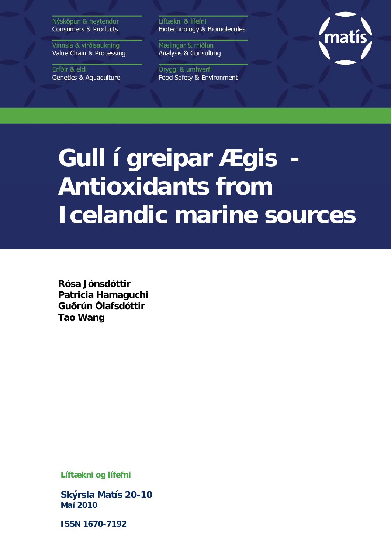Nýsköpun & neytendur **Consumers & Products** 

Vinnsla & virðisaukning Value Chain & Processing

Erfðir & eldi **Genetics & Aquaculture**  Líftækni & lífefni Biotechnology & Biomolecules

Mælingar & miðlun **Analysis & Consulting** 

Öryggi & umhverfi Food Safety & Environment



# **Gull í greipar Ægis Antioxidants from Icelandic marine sources**

**Rósa Jónsdóttir Patricia Hamaguchi Guðrún Ólafsdóttir Tao Wang** 

**Líftækni og lífefni** 

**Skýrsla Matís 20-10 Maí 2010** 

**ISSN 1670-7192**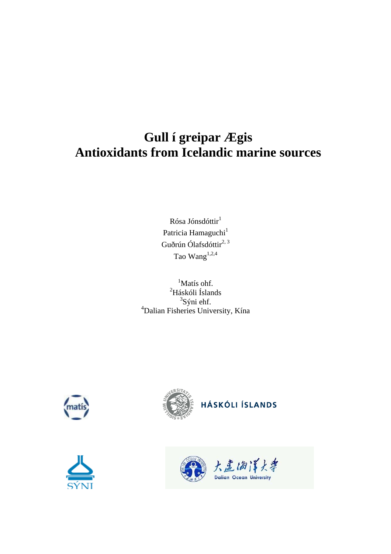# **Gull í greipar Ægis Antioxidants from Icelandic marine sources**

Rósa Jónsdóttir<sup>1</sup> Patricia Hamaguchi<sup>1</sup> Guðrún Ólafsdóttir<sup>2, 3</sup> Tao Wang $^{1,2,4}$ 

<sup>1</sup>Matís ohf. 2 Háskóli Íslands <sup>3</sup>Sýni ehf. 4 Dalian Fisheries University, Kína







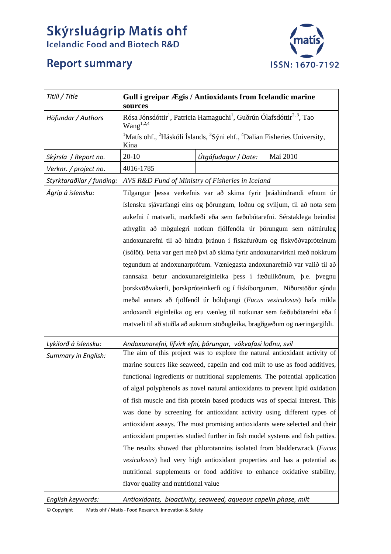# **Skýrsluágrip Matís ohf**<br>Icelandic Food and Biotech R&D





| Titill / Title             | Gull í greipar Ægis / Antioxidants from Icelandic marine<br>sources                                                                                                                                                                                                                                                                                                                                                                                                                                                                                                                                                                                                                                                                                                                                                                                 |                     |          |
|----------------------------|-----------------------------------------------------------------------------------------------------------------------------------------------------------------------------------------------------------------------------------------------------------------------------------------------------------------------------------------------------------------------------------------------------------------------------------------------------------------------------------------------------------------------------------------------------------------------------------------------------------------------------------------------------------------------------------------------------------------------------------------------------------------------------------------------------------------------------------------------------|---------------------|----------|
| Höfundar / Authors         | Rósa Jónsdóttir <sup>1</sup> , Patricia Hamaguchi <sup>1</sup> , Guðrún Ólafsdóttir <sup>2, 3</sup> , Tao<br>Wang <sup>1,2,4</sup><br><sup>1</sup> Matís ohf., <sup>2</sup> Háskóli Íslands, <sup>3</sup> Sýni ehf., <sup>4</sup> Dalian Fisheries University,<br>Kína                                                                                                                                                                                                                                                                                                                                                                                                                                                                                                                                                                              |                     |          |
|                            |                                                                                                                                                                                                                                                                                                                                                                                                                                                                                                                                                                                                                                                                                                                                                                                                                                                     |                     |          |
| Skýrsla / Report no.       | $20 - 10$                                                                                                                                                                                                                                                                                                                                                                                                                                                                                                                                                                                                                                                                                                                                                                                                                                           | Útgáfudagur / Date: | Maí 2010 |
| Verknr. / project no.      | 4016-1785                                                                                                                                                                                                                                                                                                                                                                                                                                                                                                                                                                                                                                                                                                                                                                                                                                           |                     |          |
| Styrktaraðilar / funding:  | AVS R&D Fund of Ministry of Fisheries in Iceland                                                                                                                                                                                                                                                                                                                                                                                                                                                                                                                                                                                                                                                                                                                                                                                                    |                     |          |
| Ágrip á íslensku:          | Tilgangur þessa verkefnis var að skima fyrir þráahindrandi efnum úr<br>íslensku sjávarfangi eins og þörungum, loðnu og sviljum, til að nota sem<br>aukefni í matvæli, markfæði eða sem fæðubótarefni. Sérstaklega beindist                                                                                                                                                                                                                                                                                                                                                                                                                                                                                                                                                                                                                          |                     |          |
|                            | athyglin að mögulegri notkun fjölfenóla úr þörungum sem náttúruleg<br>andoxunarefni til að hindra þránun í fiskafurðum og fiskvöðvapróteinum<br>(ísólöt). Þetta var gert með því að skima fyrir andoxunarvirkni með nokkrum<br>tegundum af andoxunarprófum. Vænlegasta andoxunarefnið var valið til að<br>rannsaka betur andoxunareiginleika þess í fæðulíkönum, þ.e. þvegnu<br>þorskvöðvakerfi, þorskpróteinkerfi og í fiskiborgurum. Niðurstöður sýndu<br>meðal annars að fjölfenól úr bóluþangi (Fucus vesiculosus) hafa mikla<br>andoxandi eiginleika og eru vænleg til notkunar sem fæðubótarefni eða í<br>matvæli til að stuðla að auknum stöðugleika, bragðgæðum og næringargildi.                                                                                                                                                           |                     |          |
| Lykilorð á íslensku:       | Andoxunarefni, lífvirk efni, þörungar, vökvafasi loðnu, svil<br>The aim of this project was to explore the natural antioxidant activity of                                                                                                                                                                                                                                                                                                                                                                                                                                                                                                                                                                                                                                                                                                          |                     |          |
| <b>Summary in English:</b> | marine sources like seaweed, capelin and cod milt to use as food additives,<br>functional ingredients or nutritional supplements. The potential application<br>of algal polyphenols as novel natural antioxidants to prevent lipid oxidation<br>of fish muscle and fish protein based products was of special interest. This<br>was done by screening for antioxidant activity using different types of<br>antioxidant assays. The most promising antioxidants were selected and their<br>antioxidant properties studied further in fish model systems and fish patties.<br>The results showed that phlorotannins isolated from bladderwrack (Fucus<br>vesiculosus) had very high antioxidant properties and has a potential as<br>nutritional supplements or food additive to enhance oxidative stability,<br>flavor quality and nutritional value |                     |          |
| English keywords:          | Antioxidants, bioactivity, seaweed, aqueous capelin phase, milt                                                                                                                                                                                                                                                                                                                                                                                                                                                                                                                                                                                                                                                                                                                                                                                     |                     |          |

© Copyright Matís ohf / Matis ‐ Food Research, Innovation & Safety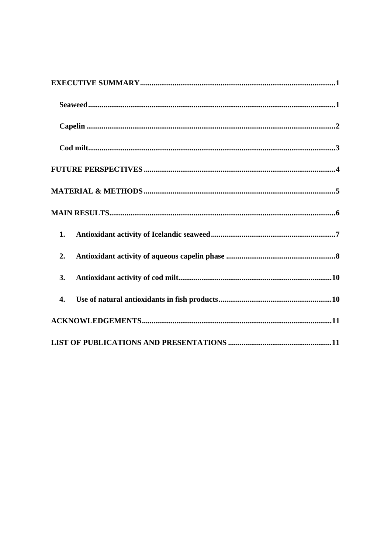| 1. |
|----|
| 2. |
| 3. |
| 4. |
|    |
|    |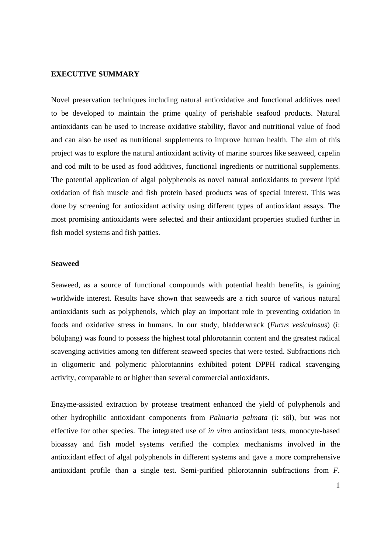# **EXECUTIVE SUMMARY**

Novel preservation techniques including natural antioxidative and functional additives need to be developed to maintain the prime quality of perishable seafood products. Natural antioxidants can be used to increase oxidative stability, flavor and nutritional value of food and can also be used as nutritional supplements to improve human health. The aim of this project was to explore the natural antioxidant activity of marine sources like seaweed, capelin and cod milt to be used as food additives, functional ingredients or nutritional supplements. The potential application of algal polyphenols as novel natural antioxidants to prevent lipid oxidation of fish muscle and fish protein based products was of special interest. This was done by screening for antioxidant activity using different types of antioxidant assays. The most promising antioxidants were selected and their antioxidant properties studied further in fish model systems and fish patties.

# **Seaweed**

Seaweed, as a source of functional compounds with potential health benefits, is gaining worldwide interest. Results have shown that seaweeds are a rich source of various natural antioxidants such as polyphenols, which play an important role in preventing oxidation in foods and oxidative stress in humans. In our study, bladderwrack (*Fucus vesiculosus*) (í: bóluþang) was found to possess the highest total phlorotannin content and the greatest radical scavenging activities among ten different seaweed species that were tested. Subfractions rich in oligomeric and polymeric phlorotannins exhibited potent DPPH radical scavenging activity, comparable to or higher than several commercial antioxidants.

Enzyme-assisted extraction by protease treatment enhanced the yield of polyphenols and other hydrophilic antioxidant components from *Palmaria palmata* (í: söl), but was not effective for other species. The integrated use of *in vitro* antioxidant tests, monocyte-based bioassay and fish model systems verified the complex mechanisms involved in the antioxidant effect of algal polyphenols in different systems and gave a more comprehensive antioxidant profile than a single test. Semi-purified phlorotannin subfractions from *F.* 

1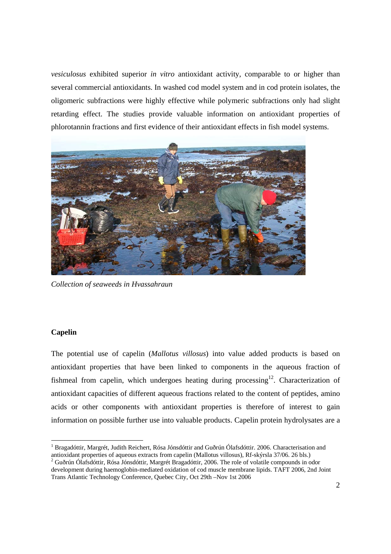*vesiculosus* exhibited superior *in vitro* antioxidant activity, comparable to or higher than several commercial antioxidants. In washed cod model system and in cod protein isolates, the oligomeric subfractions were highly effective while polymeric subfractions only had slight retarding effect. The studies provide valuable information on antioxidant properties of phlorotannin fractions and first evidence of their antioxidant effects in fish model systems.



*Collection of seaweeds in Hvassahraun* 

# **Capelin**

The potential use of capelin (*Mallotus villosus*) into value added products is based on antioxidant properties that have been linked to components in the aqueous fraction of fishmeal from capelin, which undergoes heating during processing<sup>12</sup>. Characterization of antioxidant capacities of different aqueous fractions related to the content of peptides, amino acids or other components with antioxidant properties is therefore of interest to gain information on possible further use into valuable products. Capelin protein hydrolysates are a

<sup>&</sup>lt;sup>1</sup> Bragadóttir, Margrét, Judith Reichert, Rósa Jónsdóttir and Guðrún Ólafsdóttir. 2006. Characterisation and antioxidant properties of aqueous extracts from capelin (Mallotus villosus), Rf-skýrsla 37/06. 26 bls.)

<sup>&</sup>lt;sup>2</sup> Guðrún Ólafsdóttir, Rósa Jónsdóttir, Margrét Bragadóttir, 2006. The role of volatile compounds in odor development during haemoglobin-mediated oxidation of cod muscle membrane lipids. TAFT 2006, 2nd Joint Trans Atlantic Technology Conference, Quebec City, Oct 29th –Nov 1st 2006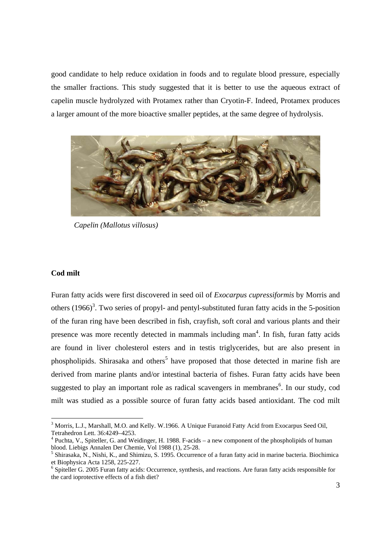good candidate to help reduce oxidation in foods and to regulate blood pressure, especially the smaller fractions. This study suggested that it is better to use the aqueous extract of capelin muscle hydrolyzed with Protamex rather than Cryotin-F. Indeed, Protamex produces a larger amount of the more bioactive smaller peptides, at the same degree of hydrolysis.



*Capelin (Mallotus villosus)* 

#### **Cod milt**

Furan fatty acids were first discovered in seed oil of *Exocarpus cupressiformis* by Morris and others  $(1966)^3$ . Two series of propyl- and pentyl-substituted furan fatty acids in the 5-position of the furan ring have been described in fish, crayfish, soft coral and various plants and their presence was more recently detected in mammals including man<sup>4</sup>. In fish, furan fatty acids are found in liver cholesterol esters and in testis triglycerides, but are also present in phospholipids. Shirasaka and others<sup>5</sup> have proposed that those detected in marine fish are derived from marine plants and/or intestinal bacteria of fishes. Furan fatty acids have been suggested to play an important role as radical scavengers in membranes<sup>6</sup>. In our study, cod milt was studied as a possible source of furan fatty acids based antioxidant. The cod milt

<sup>&</sup>lt;sup>3</sup> Morris, L.J., Marshall, M.O. and Kelly. W.1966. A Unique Furanoid Fatty Acid from Exocarpus Seed Oil, Tetrahedron Lett. 36:4249–4253.

<sup>&</sup>lt;sup>4</sup> Puchta, V., Spiteller, G. and Weidinger, H. 1988. F-acids – a new component of the phospholipids of human blood. Liebigs Annalen Der Chemie, Vol 1988 (1), 25-28.

<sup>&</sup>lt;sup>5</sup> Shirasaka, N., Nishi, K., and Shimizu, S. 1995. Occurrence of a furan fatty acid in marine bacteria. Biochimica et Biophysica Acta 1258, 225-227.

<sup>&</sup>lt;sup>6</sup> Spiteller G. 2005 Furan fatty acids: Occurrence, synthesis, and reactions. Are furan fatty acids responsible for the card ioprotective effects of a fish diet?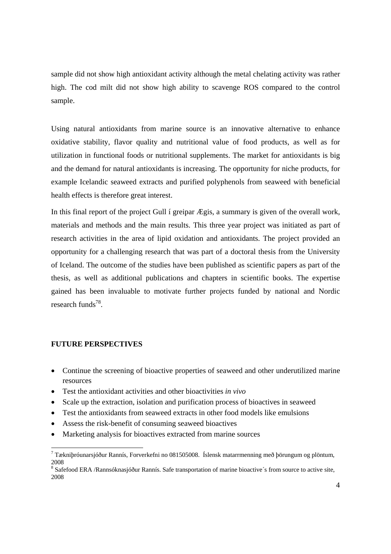sample did not show high antioxidant activity although the metal chelating activity was rather high. The cod milt did not show high ability to scavenge ROS compared to the control sample.

Using natural antioxidants from marine source is an innovative alternative to enhance oxidative stability, flavor quality and nutritional value of food products, as well as for utilization in functional foods or nutritional supplements. The market for antioxidants is big and the demand for natural antioxidants is increasing. The opportunity for niche products, for example Icelandic seaweed extracts and purified polyphenols from seaweed with beneficial health effects is therefore great interest.

In this final report of the project Gull í greipar Ægis, a summary is given of the overall work, materials and methods and the main results. This three year project was initiated as part of research activities in the area of lipid oxidation and antioxidants. The project provided an opportunity for a challenging research that was part of a doctoral thesis from the University of Iceland. The outcome of the studies have been published as scientific papers as part of the thesis, as well as additional publications and chapters in scientific books. The expertise gained has been invaluable to motivate further projects funded by national and Nordic research funds $78$ .

# **FUTURE PERSPECTIVES**

- Continue the screening of bioactive properties of seaweed and other underutilized marine resources
- Test the antioxidant activities and other bioactivities *in vivo*
- Scale up the extraction, isolation and purification process of bioactives in seaweed
- Test the antioxidants from seaweed extracts in other food models like emulsions
- Assess the risk-benefit of consuming seaweed bioactives
- Marketing analysis for bioactives extracted from marine sources

<sup>7</sup> Tækniþróunarsjóður Rannís, Forverkefni no 081505008. Íslensk matarrmenning með þörungum og plöntum, 2008

<sup>&</sup>lt;sup>8</sup> Safefood ERA /Rannsóknasjóður Rannís. Safe transportation of marine bioactive's from source to active site, 2008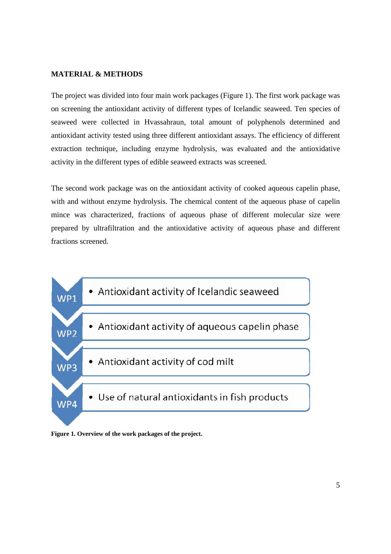# **MATERIAL & METHODS**

The project was divided into four main work packages (Figure 1). The first work package was on screening the antioxidant activity of different types of Icelandic seaweed. Ten species of seaweed were collected in Hvassahraun, total amount of polyphenols determined and antioxidant activity tested using three different antioxidant assays. The efficiency of different extraction technique, including enzyme hydrolysis, was evaluated and the antioxidative activity in the different types of edible seaweed extracts was screened.

The second work package was on the antioxidant activity of cooked aqueous capelin phase, with and without enzyme hydrolysis. The chemical content of the aqueous phase of capelin mince was characterized, fractions of aqueous phase of different molecular size were prepared by ultrafiltration and the antioxidative activity of aqueous phase and different fractions screened.



**Figure 1. Overview of the work packages of the project.**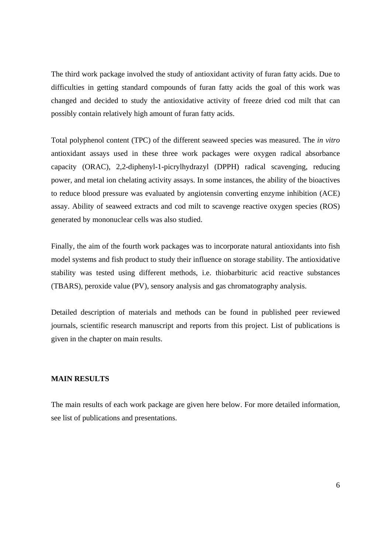The third work package involved the study of antioxidant activity of furan fatty acids. Due to difficulties in getting standard compounds of furan fatty acids the goal of this work was changed and decided to study the antioxidative activity of freeze dried cod milt that can possibly contain relatively high amount of furan fatty acids.

Total polyphenol content (TPC) of the different seaweed species was measured. The *in vitro* antioxidant assays used in these three work packages were oxygen radical absorbance capacity (ORAC), 2,2-diphenyl-1-picrylhydrazyl (DPPH) radical scavenging, reducing power, and metal ion chelating activity assays. In some instances, the ability of the bioactives to reduce blood pressure was evaluated by angiotensin converting enzyme inhibition (ACE) assay. Ability of seaweed extracts and cod milt to scavenge reactive oxygen species (ROS) generated by mononuclear cells was also studied.

Finally, the aim of the fourth work packages was to incorporate natural antioxidants into fish model systems and fish product to study their influence on storage stability. The antioxidative stability was tested using different methods, i.e. thiobarbituric acid reactive substances (TBARS), peroxide value (PV), sensory analysis and gas chromatography analysis.

Detailed description of materials and methods can be found in published peer reviewed journals, scientific research manuscript and reports from this project. List of publications is given in the chapter on main results.

# **MAIN RESULTS**

The main results of each work package are given here below. For more detailed information, see list of publications and presentations.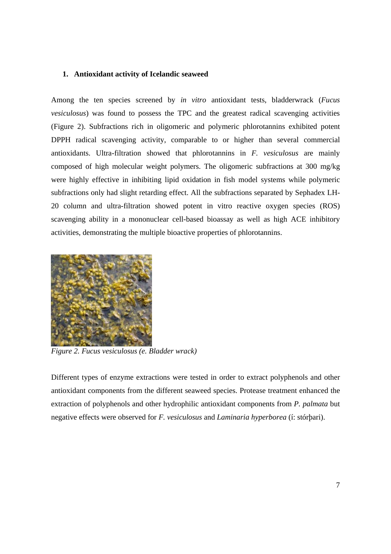# **1. Antioxidant activity of Icelandic seaweed**

Among the ten species screened by *in vitro* antioxidant tests, bladderwrack (*Fucus vesiculosus*) was found to possess the TPC and the greatest radical scavenging activities (Figure 2). Subfractions rich in oligomeric and polymeric phlorotannins exhibited potent DPPH radical scavenging activity, comparable to or higher than several commercial antioxidants. Ultra-filtration showed that phlorotannins in *F. vesiculosus* are mainly composed of high molecular weight polymers. The oligomeric subfractions at 300 mg/kg were highly effective in inhibiting lipid oxidation in fish model systems while polymeric subfractions only had slight retarding effect. All the subfractions separated by Sephadex LH-20 column and ultra-filtration showed potent in vitro reactive oxygen species (ROS) scavenging ability in a mononuclear cell-based bioassay as well as high ACE inhibitory activities, demonstrating the multiple bioactive properties of phlorotannins.



*Figure 2. Fucus vesiculosus (e. Bladder wrack)* 

Different types of enzyme extractions were tested in order to extract polyphenols and other antioxidant components from the different seaweed species. Protease treatment enhanced the extraction of polyphenols and other hydrophilic antioxidant components from *P. palmata* but negative effects were observed for *F. vesiculosus* and *Laminaria hyperborea* (í: stórþari).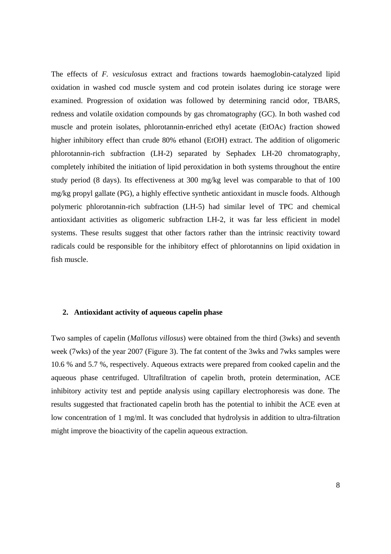The effects of *F. vesiculosus* extract and fractions towards haemoglobin-catalyzed lipid oxidation in washed cod muscle system and cod protein isolates during ice storage were examined. Progression of oxidation was followed by determining rancid odor, TBARS, redness and volatile oxidation compounds by gas chromatography (GC). In both washed cod muscle and protein isolates, phlorotannin-enriched ethyl acetate (EtOAc) fraction showed higher inhibitory effect than crude 80% ethanol (EtOH) extract. The addition of oligomeric phlorotannin-rich subfraction (LH-2) separated by Sephadex LH-20 chromatography, completely inhibited the initiation of lipid peroxidation in both systems throughout the entire study period (8 days). Its effectiveness at 300 mg/kg level was comparable to that of 100 mg/kg propyl gallate (PG), a highly effective synthetic antioxidant in muscle foods. Although polymeric phlorotannin-rich subfraction (LH-5) had similar level of TPC and chemical antioxidant activities as oligomeric subfraction LH-2, it was far less efficient in model systems. These results suggest that other factors rather than the intrinsic reactivity toward radicals could be responsible for the inhibitory effect of phlorotannins on lipid oxidation in fish muscle.

#### **2. Antioxidant activity of aqueous capelin phase**

Two samples of capelin (*Mallotus villosus*) were obtained from the third (3wks) and seventh week (7wks) of the year 2007 (Figure 3). The fat content of the 3wks and 7wks samples were 10.6 % and 5.7 %, respectively. Aqueous extracts were prepared from cooked capelin and the aqueous phase centrifuged. Ultrafiltration of capelin broth, protein determination, ACE inhibitory activity test and peptide analysis using capillary electrophoresis was done. The results suggested that fractionated capelin broth has the potential to inhibit the ACE even at low concentration of 1 mg/ml. It was concluded that hydrolysis in addition to ultra-filtration might improve the bioactivity of the capelin aqueous extraction.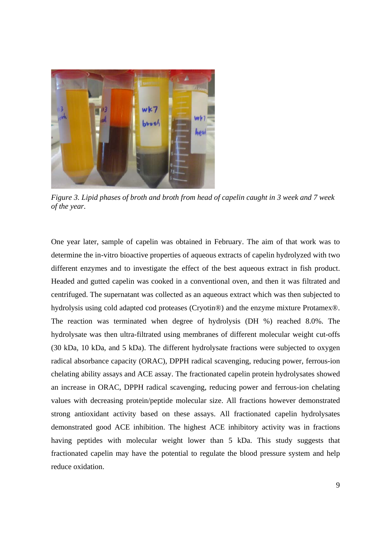

*Figure 3. Lipid phases of broth and broth from head of capelin caught in 3 week and 7 week of the year.* 

One year later, sample of capelin was obtained in February. The aim of that work was to determine the in-vitro bioactive properties of aqueous extracts of capelin hydrolyzed with two different enzymes and to investigate the effect of the best aqueous extract in fish product. Headed and gutted capelin was cooked in a conventional oven, and then it was filtrated and centrifuged. The supernatant was collected as an aqueous extract which was then subjected to hydrolysis using cold adapted cod proteases (Cryotin®) and the enzyme mixture Protamex®. The reaction was terminated when degree of hydrolysis (DH %) reached 8.0%. The hydrolysate was then ultra-filtrated using membranes of different molecular weight cut-offs (30 kDa, 10 kDa, and 5 kDa). The different hydrolysate fractions were subjected to oxygen radical absorbance capacity (ORAC), DPPH radical scavenging, reducing power, ferrous-ion chelating ability assays and ACE assay. The fractionated capelin protein hydrolysates showed an increase in ORAC, DPPH radical scavenging, reducing power and ferrous-ion chelating values with decreasing protein/peptide molecular size. All fractions however demonstrated strong antioxidant activity based on these assays. All fractionated capelin hydrolysates demonstrated good ACE inhibition. The highest ACE inhibitory activity was in fractions having peptides with molecular weight lower than 5 kDa. This study suggests that fractionated capelin may have the potential to regulate the blood pressure system and help reduce oxidation.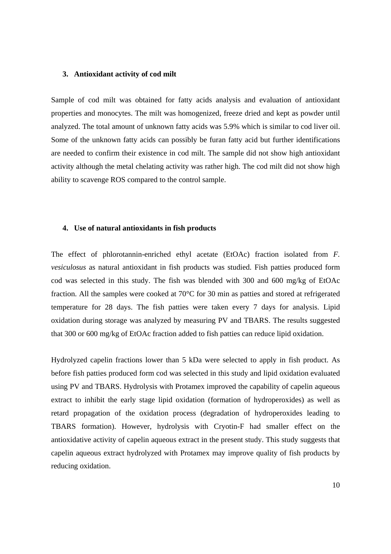#### **3. Antioxidant activity of cod milt**

Sample of cod milt was obtained for fatty acids analysis and evaluation of antioxidant properties and monocytes. The milt was homogenized, freeze dried and kept as powder until analyzed. The total amount of unknown fatty acids was 5.9% which is similar to cod liver oil. Some of the unknown fatty acids can possibly be furan fatty acid but further identifications are needed to confirm their existence in cod milt. The sample did not show high antioxidant activity although the metal chelating activity was rather high. The cod milt did not show high ability to scavenge ROS compared to the control sample.

# **4. Use of natural antioxidants in fish products**

The effect of phlorotannin-enriched ethyl acetate (EtOAc) fraction isolated from *F. vesiculosus* as natural antioxidant in fish products was studied. Fish patties produced form cod was selected in this study. The fish was blended with 300 and 600 mg/kg of EtOAc fraction. All the samples were cooked at 70°C for 30 min as patties and stored at refrigerated temperature for 28 days. The fish patties were taken every 7 days for analysis. Lipid oxidation during storage was analyzed by measuring PV and TBARS. The results suggested that 300 or 600 mg/kg of EtOAc fraction added to fish patties can reduce lipid oxidation.

Hydrolyzed capelin fractions lower than 5 kDa were selected to apply in fish product. As before fish patties produced form cod was selected in this study and lipid oxidation evaluated using PV and TBARS. Hydrolysis with Protamex improved the capability of capelin aqueous extract to inhibit the early stage lipid oxidation (formation of hydroperoxides) as well as retard propagation of the oxidation process (degradation of hydroperoxides leading to TBARS formation). However, hydrolysis with Cryotin-F had smaller effect on the antioxidative activity of capelin aqueous extract in the present study. This study suggests that capelin aqueous extract hydrolyzed with Protamex may improve quality of fish products by reducing oxidation.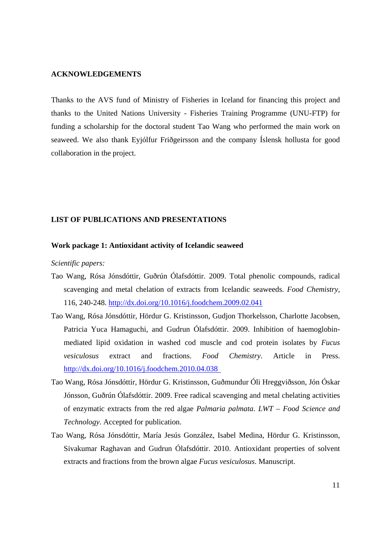# **ACKNOWLEDGEMENTS**

Thanks to the AVS fund of Ministry of Fisheries in Iceland for financing this project and thanks to the United Nations University - Fisheries Training Programme (UNU-FTP) for funding a scholarship for the doctoral student Tao Wang who performed the main work on seaweed. We also thank Eyjólfur Friðgeirsson and the company Íslensk hollusta for good collaboration in the project.

# **LIST OF PUBLICATIONS AND PRESENTATIONS**

#### **Work package 1: Antioxidant activity of Icelandic seaweed**

*Scientific papers:* 

- Tao Wang, Rósa Jónsdóttir, Guðrún Ólafsdóttir. 2009. Total phenolic compounds, radical scavenging and metal chelation of extracts from Icelandic seaweeds. *Food Chemistry*, 116, 240-248. http://dx.doi.org/10.1016/j.foodchem.2009.02.041
- Tao Wang, Rósa Jónsdóttir, Hördur G. Kristinsson, Gudjon Thorkelsson, Charlotte Jacobsen, Patricia Yuca Hamaguchi, and Gudrun Ólafsdóttir. 2009. Inhibition of haemoglobinmediated lipid oxidation in washed cod muscle and cod protein isolates by *Fucus vesiculosus* extract and fractions. *Food Chemistry*. Article in Press. http://dx.doi.org/10.1016/j.foodchem.2010.04.038
- Tao Wang, Rósa Jónsdóttir, Hördur G. Kristinsson, Guðmundur Óli Hreggviðsson, Jón Óskar Jónsson, Guðrún Ólafsdóttir. 2009. Free radical scavenging and metal chelating activities of enzymatic extracts from the red algae *Palmaria palmata*. *LWT – Food Science and Technology*. Accepted for publication.
- Tao Wang, Rósa Jónsdóttir, María Jesús González, Isabel Medina, Hördur G. Kristinsson, Sivakumar Raghavan and Gudrun Ólafsdóttir. 2010. Antioxidant properties of solvent extracts and fractions from the brown algae *Fucus vesiculosus*. Manuscript.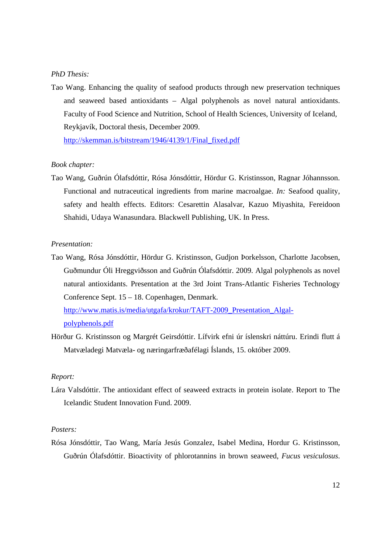#### *PhD Thesis:*

Tao Wang. Enhancing the quality of seafood products through new preservation techniques and seaweed based antioxidants – Algal polyphenols as novel natural antioxidants. Faculty of Food Science and Nutrition, School of Health Sciences, University of Iceland, Reykjavík, Doctoral thesis, December 2009.

http://skemman.is/bitstream/1946/4139/1/Final\_fixed.pdf

# *Book chapter:*

Tao Wang, Guðrún Ólafsdóttir, Rósa Jónsdóttir, Hördur G. Kristinsson, Ragnar Jóhannsson. Functional and nutraceutical ingredients from marine macroalgae. *In:* Seafood quality, safety and health effects. Editors: Cesarettin Alasalvar, Kazuo Miyashita, Fereidoon Shahidi, Udaya Wanasundara. Blackwell Publishing, UK. In Press.

# *Presentation:*

Tao Wang, Rósa Jónsdóttir, Hördur G. Kristinsson, Gudjon Þorkelsson, Charlotte Jacobsen, Guðmundur Óli Hreggviðsson and Guðrún Ólafsdóttir. 2009. Algal polyphenols as novel natural antioxidants. Presentation at the 3rd Joint Trans-Atlantic Fisheries Technology Conference Sept. 15 – 18. Copenhagen, Denmark.

http://www.matis.is/media/utgafa/krokur/TAFT-2009\_Presentation\_Algalpolyphenols.pdf

Hörður G. Kristinsson og Margrét Geirsdóttir. Lífvirk efni úr íslenskri náttúru. Erindi flutt á Matvæladegi Matvæla- og næringarfræðafélagi Íslands, 15. október 2009.

#### *Report:*

Lára Valsdóttir. The antioxidant effect of seaweed extracts in protein isolate. Report to The Icelandic Student Innovation Fund. 2009.

# *Posters:*

Rósa Jónsdóttir, Tao Wang, María Jesús Gonzalez, Isabel Medina, Hordur G. Kristinsson, Guðrún Ólafsdóttir. Bioactivity of phlorotannins in brown seaweed, *Fucus vesiculosus*.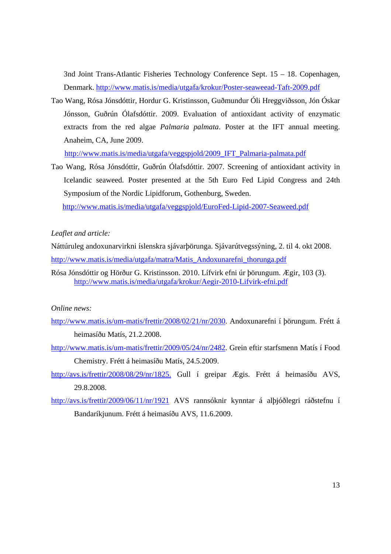3nd Joint Trans-Atlantic Fisheries Technology Conference Sept. 15 – 18. Copenhagen, Denmark. http://www.matis.is/media/utgafa/krokur/Poster-seaweead-Taft-2009.pdf

Tao Wang, Rósa Jónsdóttir, Hordur G. Kristinsson, Guðmundur Óli Hreggviðsson, Jón Óskar Jónsson, Guðrún Ólafsdóttir. 2009. Evaluation of antioxidant activity of enzymatic extracts from the red algae *Palmaria palmata*. Poster at the IFT annual meeting. Anaheim, CA, June 2009.

http://www.matis.is/media/utgafa/veggspjold/2009\_IFT\_Palmaria-palmata.pdf

Tao Wang, Rósa Jónsdóttir, Guðrún Ólafsdóttir. 2007. Screening of antioxidant activity in Icelandic seaweed. Poster presented at the 5th Euro Fed Lipid Congress and 24th Symposium of the Nordic Lipidforum, Gothenburg, Sweden. http://www.matis.is/media/utgafa/veggspjold/EuroFed-Lipid-2007-Seaweed.pdf

# *Leaflet and article:*

Náttúruleg andoxunarvirkni íslenskra sjávarþörunga. Sjávarútvegssýning, 2. til 4. okt 2008. http://www.matis.is/media/utgafa/matra/Matis\_Andoxunarefni\_thorunga.pdf

Rósa Jónsdóttir og Hörður G. Kristinsson. 2010. Lífvirk efni úr þörungum. Ægir, 103 (3). http://www.matis.is/media/utgafa/krokur/Aegir-2010-Lifvirk-efni.pdf

#### *Online news:*

- http://www.matis.is/um-matis/frettir/2008/02/21/nr/2030. Andoxunarefni í þörungum. Frétt á heimasíðu Matís, 21.2.2008.
- http://www.matis.is/um-matis/frettir/2009/05/24/nr/2482. Grein eftir starfsmenn Matís í Food Chemistry. Frétt á heimasíðu Matís, 24.5.2009.
- http://avs.is/frettir/2008/08/29/nr/1825. Gull í greipar Ægis. Frétt á heimasíðu AVS, 29.8.2008.
- http://avs.is/frettir/2009/06/11/nr/1921 AVS rannsóknir kynntar á alþjóðlegri ráðstefnu í Bandaríkjunum. Frétt á heimasíðu AVS, 11.6.2009.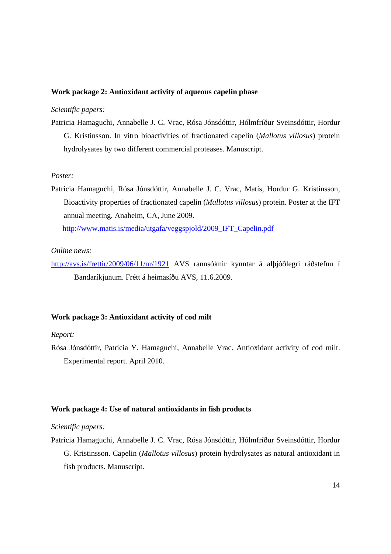# **Work package 2: Antioxidant activity of aqueous capelin phase**

# *Scientific papers:*

Patricia Hamaguchi, Annabelle J. C. Vrac, Rósa Jónsdóttir, Hólmfríður Sveinsdóttir, Hordur G. Kristinsson. In vitro bioactivities of fractionated capelin (*Mallotus villosus*) protein hydrolysates by two different commercial proteases. Manuscript.

#### *Poster:*

Patricia Hamaguchi, Rósa Jónsdóttir, Annabelle J. C. Vrac, Matís, Hordur G. Kristinsson, Bioactivity properties of fractionated capelin (*Mallotus villosus*) protein. Poster at the IFT annual meeting. Anaheim, CA, June 2009.

http://www.matis.is/media/utgafa/veggspjold/2009\_IFT\_Capelin.pdf

# *Online news:*

http://avs.is/frettir/2009/06/11/nr/1921 AVS rannsóknir kynntar á alþjóðlegri ráðstefnu í Bandaríkjunum. Frétt á heimasíðu AVS, 11.6.2009.

# **Work package 3: Antioxidant activity of cod milt**

# *Report:*

Rósa Jónsdóttir, Patricia Y. Hamaguchi, Annabelle Vrac. Antioxidant activity of cod milt. Experimental report. April 2010.

#### **Work package 4: Use of natural antioxidants in fish products**

*Scientific papers:* 

Patricia Hamaguchi, Annabelle J. C. Vrac, Rósa Jónsdóttir, Hólmfríður Sveinsdóttir, Hordur G. Kristinsson. Capelin (*Mallotus villosus*) protein hydrolysates as natural antioxidant in fish products. Manuscript.